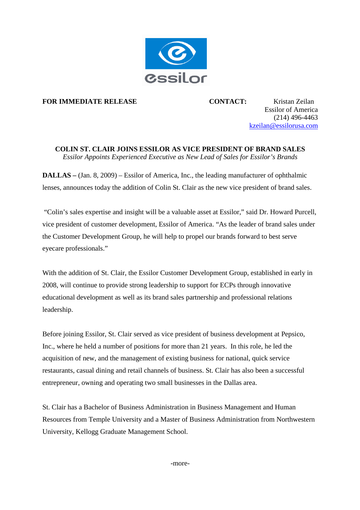

**FOR IMMEDIATE RELEASE 6 CONTACT:** Kristan Zeilan

Essilor of America (214) 496-4463 kzeilan@essilorusa.com

## **COLIN ST. CLAIR JOINS ESSILOR AS VICE PRESIDENT OF BRAND SALES**

*Essilor Appoints Experienced Executive as New Lead of Sales for Essilor's Brands*

**DALLAS –** (Jan. 8, 2009) – Essilor of America, Inc., the leading manufacturer of ophthalmic lenses, announces today the addition of Colin St. Clair as the new vice president of brand sales.

"Colin's sales expertise and insight will be a valuable asset at Essilor," said Dr. Howard Purcell, vice president of customer development, Essilor of America. "As the leader of brand sales under the Customer Development Group, he will help to propel our brands forward to best serve eyecare professionals."

With the addition of St. Clair, the Essilor Customer Development Group, established in early in 2008, will continue to provide strong leadership to support for ECPs through innovative educational development as well as its brand sales partnership and professional relations leadership.

Before joining Essilor, St. Clair served as vice president of business development at Pepsico, Inc., where he held a number of positions for more than 21 years. In this role, he led the acquisition of new, and the management of existing business for national, quick service restaurants, casual dining and retail channels of business. St. Clair has also been a successful entrepreneur, owning and operating two small businesses in the Dallas area.

St. Clair has a Bachelor of Business Administration in Business Management and Human Resources from Temple University and a Master of Business Administration from Northwestern University, Kellogg Graduate Management School.